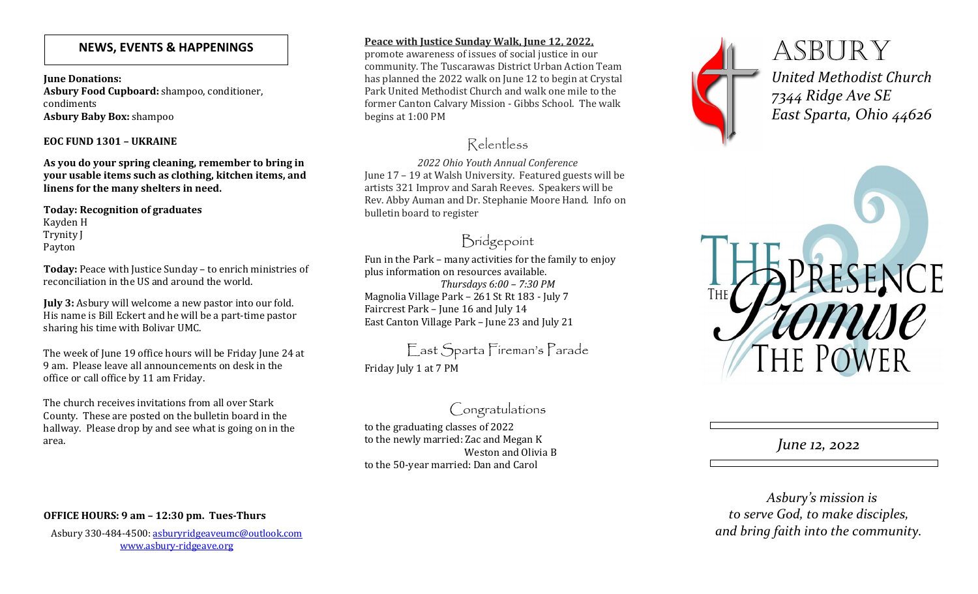### **NEWS, EVENTS & HAPPENINGS**

**June Donations: Asbury Food Cupboard:** shampoo, conditioner, condiments**Asbury Baby Box:** shampoo

#### **EOC FUND 1301 – UKRAINE**

**As you do your spring cleaning, remember to bring in your usable items such as clothing, kitchen items, and linens for the many shelters in need.** 

**Today: Recognition of graduates** Kayden H Trynity J Payton

**Today:** Peace with Justice Sunday – to enrich ministries of reconciliation in the US and around the world.

**July 3:** Asbury will welcome a new pastor into our fold. His name is Bill Eckert and he will be a part-time pastor sharing his time with Bolivar UMC.

The week of June 19 office hours will be Friday June 24 at 9 am. Please leave all announcements on desk in theoffice or call office by 11 am Friday.

The church receives invitations from all over Stark County. These are posted on the bulletin board in the hallway. Please drop by and see what is going on in the area.

#### **Peace with Justice Sunday Walk, June 12, 2022,**

 promote awareness of issues of social justice in our community. The Tuscarawas District Urban Action Team has planned the 2022 walk on June 12 to begin at Crystal Park United Methodist Church and walk one mile to the former Canton Calvary Mission - Gibbs School. The walk begins at 1:00 PM

# Relentless

*2022 Ohio Youth Annual Conference*  June 17 – 19 at Walsh University. Featured guests will be artists 321 Improv and Sarah Reeves. Speakers will be Rev. Abby Auman and Dr. Stephanie Moore Hand. Info on bulletin board to register

## Bridgepoint

Fun in the Park – many activities for the family to enjoy plus information on resources available. *Thursdays 6:00 – 7:30 PM*  Magnolia Village Park – 261 St Rt 183 - July 7 Faircrest Park – June 16 and July 14 East Canton Village Park – June 23 and July 21

East Sparta Fireman's Parade Friday July 1 at 7 PM

# Congratulations

to the graduating classes of 2022 to the newly married: Zac and Megan K Weston and Olivia B to the 50-year married: Dan and Carol



**ASBURY** *United Methodist Church7344 Ridge Ave SEEast Sparta, Ohio 44626*



*June 12, 2022* 

 *Asbury's mission is to serve God, to make disciples, and bring faith into the community.* 

### **OFFICE HOURS: 9 am – 12:30 pm. Tues-Thurs**

Asbury 330-484-4500: asburyridgeaveumc@outlook.comwww.asbury-ridgeave.org